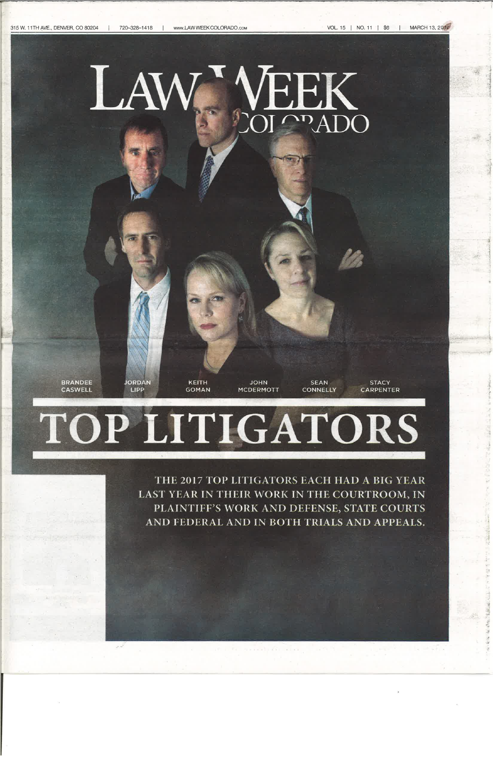315 W. 11TH AVE., DENVER, CO 80204 |

720-328-1418

 $-1$ 

WWW.LAWWEEKCOLORADO.com

VOL. 15 | NO. 11 | \$6 | MARCH 13, 2017

## LAV FEK<br>OPADC

**BRANDEE** CASWELL

**JORDAN** LIPP

KEITH **GOMAN** 

**JOHN MCDERMOTT** 

**STACY CARPENTER** 

**SEAN** 

**CONNELLY** 

# TOP LITIGATORS

THE 2017 TOP LITIGATORS EACH HAD A BIG YEAR LAST YEAR IN THEIR WORK IN THE COURTROOM, IN PLAINTIFF'S WORK AND DEFENSE, STATE COURTS AND FEDERAL AND IN BOTH TRIALS AND APPEALS.